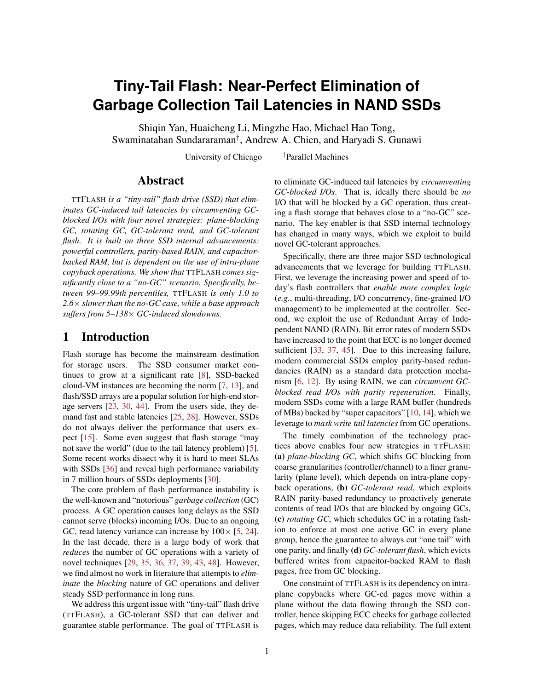# **Tiny-Tail Flash: Near-Perfect Elimination of Garbage Collection Tail Latencies in NAND SSDs**

Shiqin Yan, Huaicheng Li, Mingzhe Hao, Michael Hao Tong, Swaminatahan Sundararaman† , Andrew A. Chien, and Haryadi S. Gunawi

University of Chicago <sup>†</sup>Parallel Machines

## Abstract

TTFLASH *is a "tiny-tail" flash drive (SSD) that eliminates GC-induced tail latencies by circumventing GCblocked I/Os with four novel strategies: plane-blocking GC, rotating GC, GC-tolerant read, and GC-tolerant flush. It is built on three SSD internal advancements: powerful controllers, parity-based RAIN, and capacitorbacked RAM, but is dependent on the use of intra-plane copyback operations. We show that* TTFLASH *comes significantly close to a "no-GC" scenario. Specifically, between 99–99.99th percentiles,* TTFLASH *is only 1.0 to 2.6*× *slower than the no-GC case, while a base approach suffers from 5–138*× *GC-induced slowdowns.*

## 1 Introduction

Flash storage has become the mainstream destination for storage users. The SSD consumer market continues to grow at a significant rate [\[8\]](#page-12-0), SSD-backed cloud-VM instances are becoming the norm [\[7,](#page-12-1) [13\]](#page-12-2), and flash/SSD arrays are a popular solution for high-end storage servers [\[23,](#page-12-3) [30,](#page-13-0) [44\]](#page-13-1). From the users side, they demand fast and stable latencies [\[25,](#page-12-4) [28\]](#page-12-5). However, SSDs do not always deliver the performance that users expect [\[15\]](#page-12-6). Some even suggest that flash storage "may not save the world" (due to the tail latency problem) [\[5\]](#page-12-7). Some recent works dissect why it is hard to meet SLAs with SSDs [\[36\]](#page-13-2) and reveal high performance variability in 7 million hours of SSDs deployments [\[30\]](#page-13-0).

The core problem of flash performance instability is the well-known and "notorious" *garbage collection* (GC) process. A GC operation causes long delays as the SSD cannot serve (blocks) incoming I/Os. Due to an ongoing GC, read latency variance can increase by  $100 \times 5$ , [24\]](#page-12-8). In the last decade, there is a large body of work that *reduces* the number of GC operations with a variety of novel techniques [\[29,](#page-13-3) [35,](#page-13-4) [36,](#page-13-2) [37,](#page-13-5) [39,](#page-13-6) [43,](#page-13-7) [48\]](#page-13-8). However, we find almost no work in literature that attempts to *eliminate* the *blocking* nature of GC operations and deliver steady SSD performance in long runs.

We address this urgent issue with "tiny-tail" flash drive (TTFLASH), a GC-tolerant SSD that can deliver and guarantee stable performance. The goal of TTFLASH is to eliminate GC-induced tail latencies by *circumventing GC-blocked I/Os*. That is, ideally there should be *no* I/O that will be blocked by a GC operation, thus creating a flash storage that behaves close to a "no-GC" scenario. The key enabler is that SSD internal technology has changed in many ways, which we exploit to build novel GC-tolerant approaches.

Specifically, there are three major SSD technological advancements that we leverage for building TTFLASH. First, we leverage the increasing power and speed of today's flash controllers that *enable more complex logic* (*e.g.*, multi-threading, I/O concurrency, fine-grained I/O management) to be implemented at the controller. Second, we exploit the use of Redundant Array of Independent NAND (RAIN). Bit error rates of modern SSDs have increased to the point that ECC is no longer deemed sufficient [\[33,](#page-13-9) [37,](#page-13-5) [45\]](#page-13-10). Due to this increasing failure, modern commercial SSDs employ parity-based redundancies (RAIN) as a standard data protection mechanism [\[6,](#page-12-9) [12\]](#page-12-10). By using RAIN, we can *circumvent GCblocked read I/Os with parity regeneration*. Finally, modern SSDs come with a large RAM buffer (hundreds of MBs) backed by "super capacitors" [\[10,](#page-12-11) [14\]](#page-12-12), which we leverage to *mask write tail latencies* from GC operations.

The timely combination of the technology practices above enables four new strategies in TTFLASH: (a) *plane-blocking GC*, which shifts GC blocking from coarse granularities (controller/channel) to a finer granularity (plane level), which depends on intra-plane copyback operations, (b) *GC-tolerant read*, which exploits RAIN parity-based redundancy to proactively generate contents of read I/Os that are blocked by ongoing GCs, (c) *rotating GC*, which schedules GC in a rotating fashion to enforce at most one active GC in every plane group, hence the guarantee to always cut "one tail" with one parity, and finally (d) *GC-tolerant flush*, which evicts buffered writes from capacitor-backed RAM to flash pages, free from GC blocking.

One constraint of TTFLASH is its dependency on intraplane copybacks where GC-ed pages move within a plane without the data flowing through the SSD controller, hence skipping ECC checks for garbage collected pages, which may reduce data reliability. The full extent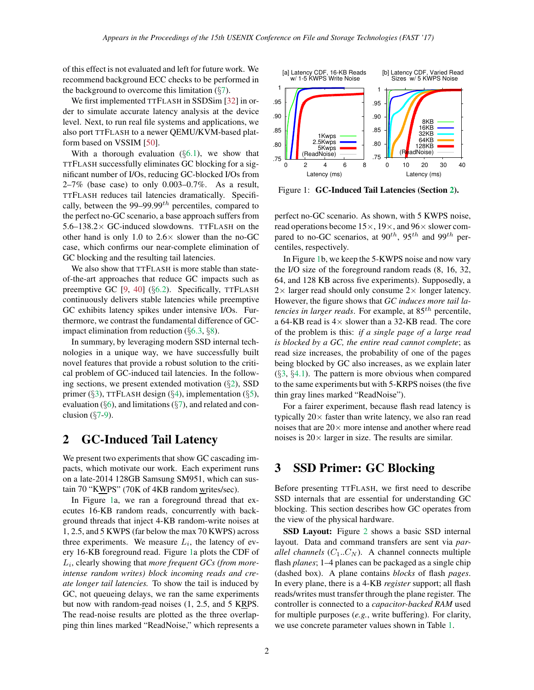of this effect is not evaluated and left for future work. We recommend background ECC checks to be performed in the background to overcome this limitation  $(\S7)$  $(\S7)$ .

We first implemented TTFLASH in SSDSim [\[32\]](#page-13-11) in order to simulate accurate latency analysis at the device level. Next, to run real file systems and applications, we also port TTFLASH to a newer QEMU/KVM-based platform based on VSSIM [\[50\]](#page-13-12).

With a thorough evaluation  $(\S6.1)$  $(\S6.1)$ , we show that TTFLASH successfully eliminates GC blocking for a significant number of I/Os, reducing GC-blocked I/Os from  $2-7\%$  (base case) to only 0.003-0.7%. As a result, TTFLASH reduces tail latencies dramatically. Specifically, between the 99–99.99 $^{th}$  percentiles, compared to the perfect no-GC scenario, a base approach suffers from  $5.6-138.2\times$  GC-induced slowdowns. TTFLASH on the other hand is only 1.0 to  $2.6 \times$  slower than the no-GC case, which confirms our near-complete elimination of GC blocking and the resulting tail latencies.

We also show that TTFLASH is more stable than stateof-the-art approaches that reduce GC impacts such as preemptive GC [\[9,](#page-12-13) [40\]](#page-13-13) (§[6.2\)](#page-7-0). Specifically, TTFLASH continuously delivers stable latencies while preemptive GC exhibits latency spikes under intensive I/Os. Furthermore, we contrast the fundamental difference of GCimpact elimination from reduction (§[6.3,](#page-8-0) §[8\)](#page-10-0).

In summary, by leveraging modern SSD internal technologies in a unique way, we have successfully built novel features that provide a robust solution to the critical problem of GC-induced tail latencies. In the following sections, we present extended motivation  $(\S2)$  $(\S2)$ , SSD primer ( $\S$ [3\)](#page-1-1), TTFLASH design ( $\S$ [4\)](#page-2-0), implementation ( $\S$ [5\)](#page-5-0), evaluation ( $\S6$ ), and limitations ( $\S7$ ), and related and conclusion  $(\S7-9)$  $(\S7-9)$  $(\S7-9)$ .

## <span id="page-1-0"></span>2 GC-Induced Tail Latency

We present two experiments that show GC cascading impacts, which motivate our work. Each experiment runs on a late-2014 128GB Samsung SM951, which can sustain 70 "KWPS" (70K of 4KB random writes/sec).

In Figure [1a](#page-1-2), we ran a foreground thread that executes 16-KB random reads, concurrently with background threads that inject 4-KB random-write noises at 1, 2.5, and 5 KWPS (far below the max 70 KWPS) across three experiments. We measure  $L_i$ , the latency of every 16-KB foreground read. Figure [1a](#page-1-2) plots the CDF of Li , clearly showing that *more frequent GCs (from moreintense random writes) block incoming reads and create longer tail latencies.* To show the tail is induced by GC, not queueing delays, we ran the same experiments but now with random-read noises (1, 2.5, and 5 KRPS. The read-noise results are plotted as the three overlapping thin lines marked "ReadNoise," which represents a



<span id="page-1-2"></span>Figure 1: GC-Induced Tail Latencies (Section [2\)](#page-1-0).

perfect no-GC scenario. As shown, with 5 KWPS noise, read operations become  $15\times$ ,  $19\times$ , and  $96\times$  slower compared to no-GC scenarios, at  $90^{th}$ ,  $95^{th}$  and  $99^{th}$  percentiles, respectively.

In Figure [1b](#page-1-2), we keep the 5-KWPS noise and now vary the I/O size of the foreground random reads (8, 16, 32, 64, and 128 KB across five experiments). Supposedly, a  $2 \times$  larger read should only consume  $2 \times$  longer latency. However, the figure shows that *GC induces more tail latencies in larger reads*. For example, at 85<sup>th</sup> percentile, a 64-KB read is 4× slower than a 32-KB read. The core of the problem is this: *if a single page of a large read is blocked by a GC, the entire read cannot complete*; as read size increases, the probability of one of the pages being blocked by GC also increases, as we explain later  $(\S3, \S4.1)$  $(\S3, \S4.1)$  $(\S3, \S4.1)$  $(\S3, \S4.1)$ . The pattern is more obvious when compared to the same experiments but with 5-KRPS noises (the five thin gray lines marked "ReadNoise").

For a fairer experiment, because flash read latency is typically  $20 \times$  faster than write latency, we also ran read noises that are  $20 \times$  more intense and another where read noises is  $20 \times$  larger in size. The results are similar.

# <span id="page-1-1"></span>3 SSD Primer: GC Blocking

Before presenting TTFLASH, we first need to describe SSD internals that are essential for understanding GC blocking. This section describes how GC operates from the view of the physical hardware.

SSD Layout: Figure [2](#page-2-1) shows a basic SSD internal layout. Data and command transfers are sent via *parallel channels*  $(C_1..C_N)$ . A channel connects multiple flash *planes*; 1–4 planes can be packaged as a single chip (dashed box). A plane contains *blocks* of flash *pages*. In every plane, there is a 4-KB *register* support; all flash reads/writes must transfer through the plane register. The controller is connected to a *capacitor-backed RAM* used for multiple purposes (*e.g.*, write buffering). For clarity, we use concrete parameter values shown in Table [1.](#page-3-1)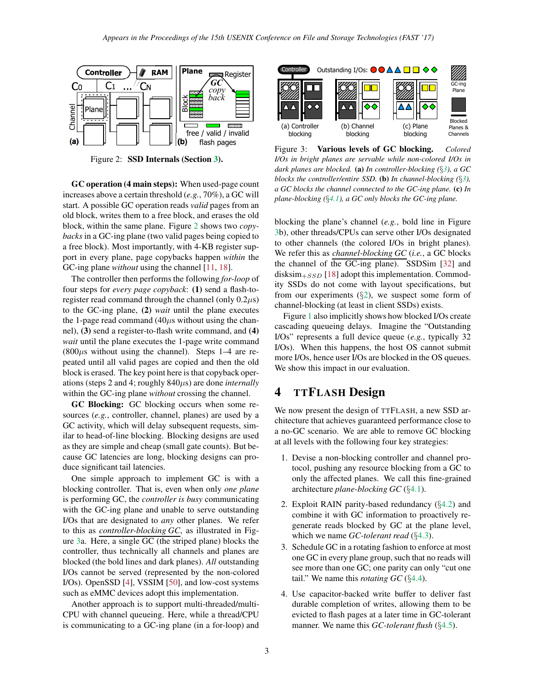

<span id="page-2-1"></span>Figure 2: SSD Internals (Section [3\)](#page-1-1).

GC operation (4 main steps): When used-page count increases above a certain threshold (*e.g.*, 70%), a GC will start. A possible GC operation reads *valid* pages from an old block, writes them to a free block, and erases the old block, within the same plane. Figure [2](#page-2-1) shows two *copybacks* in a GC-ing plane (two valid pages being copied to a free block). Most importantly, with 4-KB register support in every plane, page copybacks happen *within* the GC-ing plane *without* using the channel [\[11,](#page-12-14) [18\]](#page-12-15).

The controller then performs the following *for-loop* of four steps for *every page copyback*: (1) send a flash-toregister read command through the channel (only  $0.2\mu s$ ) to the GC-ing plane, (2) *wait* until the plane executes the 1-page read command  $(40\mu s$  without using the channel), (3) send a register-to-flash write command, and (4) *wait* until the plane executes the 1-page write command  $(800\mu s$  without using the channel). Steps 1–4 are repeated until all valid pages are copied and then the old block is erased. The key point here is that copyback operations (steps 2 and 4; roughly 840µs) are done *internally* within the GC-ing plane *without* crossing the channel.

GC Blocking: GC blocking occurs when some resources (*e.g.*, controller, channel, planes) are used by a GC activity, which will delay subsequent requests, similar to head-of-line blocking. Blocking designs are used as they are simple and cheap (small gate counts). But because GC latencies are long, blocking designs can produce significant tail latencies.

One simple approach to implement GC is with a blocking controller. That is, even when only *one plane* is performing GC, the *controller is busy* communicating with the GC-ing plane and unable to serve outstanding I/Os that are designated to *any* other planes. We refer to this as *controller-blocking GC*, as illustrated in Figure [3a](#page-2-2). Here, a single GC (the striped plane) blocks the controller, thus technically all channels and planes are blocked (the bold lines and dark planes). *All* outstanding I/Os cannot be served (represented by the non-colored I/Os). OpenSSD [\[4\]](#page-12-16), VSSIM [\[50\]](#page-13-12), and low-cost systems such as eMMC devices adopt this implementation.

Another approach is to support multi-threaded/multi-CPU with channel queueing. Here, while a thread/CPU is communicating to a GC-ing plane (in a for-loop) and



<span id="page-2-2"></span>Figure 3: Various levels of GC blocking. *Colored I/Os in bright planes are servable while non-colored I/Os in dark planes are blocked.* (a) *In controller-blocking (*§*[3\)](#page-1-1), a GC blocks the controller/entire SSD.* (b) *In channel-blocking (*§*[3\)](#page-1-1), a GC blocks the channel connected to the GC-ing plane.* (c) *In plane-blocking (*§*[4.1\)](#page-3-0), a GC only blocks the GC-ing plane.*

blocking the plane's channel (*e.g.*, bold line in Figure [3b](#page-2-2)), other threads/CPUs can serve other I/Os designated to other channels (the colored I/Os in bright planes). We refer this as *channel-blocking GC* (*i.e.*, a GC blocks the channel of the GC-ing plane). SSDSim [\[32\]](#page-13-11) and disksim $_{+SSD}$  [\[18\]](#page-12-15) adopt this implementation. Commodity SSDs do not come with layout specifications, but from our experiments  $(\S2)$  $(\S2)$ , we suspect some form of channel-blocking (at least in client SSDs) exists.

Figure [1](#page-1-2) also implicitly shows how blocked I/Os create cascading queueing delays. Imagine the "Outstanding I/Os" represents a full device queue (*e.g.*, typically 32 I/Os). When this happens, the host OS cannot submit more I/Os, hence user I/Os are blocked in the OS queues. We show this impact in our evaluation.

# <span id="page-2-0"></span>4 TTFLASH Design

We now present the design of TTFLASH, a new SSD architecture that achieves guaranteed performance close to a no-GC scenario. We are able to remove GC blocking at all levels with the following four key strategies:

- 1. Devise a non-blocking controller and channel protocol, pushing any resource blocking from a GC to only the affected planes. We call this fine-grained architecture *plane-blocking GC* (§[4.1\)](#page-3-0).
- 2. Exploit RAIN parity-based redundancy  $(\S4.2)$  $(\S4.2)$  and combine it with GC information to proactively regenerate reads blocked by GC at the plane level, which we name *GC-tolerant read* (§[4.3\)](#page-4-0).
- 3. Schedule GC in a rotating fashion to enforce at most one GC in every plane group, such that no reads will see more than one GC; one parity can only "cut one tail." We name this *rotating GC* (§[4.4\)](#page-4-1).
- 4. Use capacitor-backed write buffer to deliver fast durable completion of writes, allowing them to be evicted to flash pages at a later time in GC-tolerant manner. We name this *GC-tolerant flush* (§[4.5\)](#page-5-1).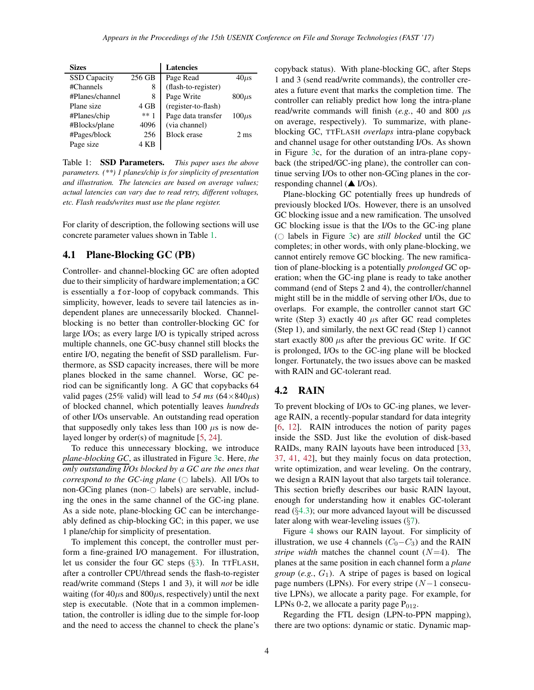| <b>Sizes</b>        |        | <b>Latencies</b>    |                |
|---------------------|--------|---------------------|----------------|
| <b>SSD</b> Capacity | 256 GB | Page Read           | $40\mu s$      |
| #Channels           | 8      | (flash-to-register) |                |
| #Planes/channel     | 8      | Page Write          | $800\mu s$     |
| Plane size          | 4 GB   | (register-to-flash) |                |
| #Planes/chip        | $***1$ | Page data transfer  | $100\mu s$     |
| #Blocks/plane       | 4096   | (via channel)       |                |
| #Pages/block        | 256    | <b>Block</b> erase  | $2 \text{ ms}$ |
| Page size           | · KB   |                     |                |

<span id="page-3-1"></span>Table 1: SSD Parameters. *This paper uses the above parameters. (\*\*) 1 planes/chip is for simplicity of presentation and illustration. The latencies are based on average values; actual latencies can vary due to read retry, different voltages, etc. Flash reads/writes must use the plane register.*

For clarity of description, the following sections will use concrete parameter values shown in Table [1.](#page-3-1)

#### <span id="page-3-0"></span>4.1 Plane-Blocking GC (PB)

Controller- and channel-blocking GC are often adopted due to their simplicity of hardware implementation; a GC is essentially a for-loop of copyback commands. This simplicity, however, leads to severe tail latencies as independent planes are unnecessarily blocked. Channelblocking is no better than controller-blocking GC for large I/Os; as every large I/O is typically striped across multiple channels, one GC-busy channel still blocks the entire I/O, negating the benefit of SSD parallelism. Furthermore, as SSD capacity increases, there will be more planes blocked in the same channel. Worse, GC period can be significantly long. A GC that copybacks 64 valid pages (25% valid) will lead to 54 ms  $(64 \times 840 \mu s)$ of blocked channel, which potentially leaves *hundreds* of other I/Os unservable. An outstanding read operation that supposedly only takes less than 100  $\mu$ s is now delayed longer by order(s) of magnitude [\[5,](#page-12-7) [24\]](#page-12-8).

To reduce this unnecessary blocking, we introduce *plane-blocking GC*, as illustrated in Figure [3c](#page-2-2). Here, *the only outstanding I/Os blocked by a GC are the ones that correspond to the GC-ing plane* ( $\circ$  labels). All I/Os to non-GCing planes (non- $\odot$  labels) are servable, including the ones in the same channel of the GC-ing plane. As a side note, plane-blocking GC can be interchangeably defined as chip-blocking GC; in this paper, we use 1 plane/chip for simplicity of presentation.

To implement this concept, the controller must perform a fine-grained I/O management. For illustration, let us consider the four GC steps (§[3\)](#page-1-1). In TTFLASH, after a controller CPU/thread sends the flash-to-register read/write command (Steps 1 and 3), it will *not* be idle waiting (for  $40\mu s$  and  $800\mu s$ , respectively) until the next step is executable. (Note that in a common implementation, the controller is idling due to the simple for-loop and the need to access the channel to check the plane's copyback status). With plane-blocking GC, after Steps 1 and 3 (send read/write commands), the controller creates a future event that marks the completion time. The controller can reliably predict how long the intra-plane read/write commands will finish ( $e.g., 40$  and 800  $\mu$ s on average, respectively). To summarize, with planeblocking GC, TTFLASH *overlaps* intra-plane copyback and channel usage for other outstanding I/Os. As shown in Figure [3c](#page-2-2), for the duration of an intra-plane copyback (the striped/GC-ing plane), the controller can continue serving I/Os to other non-GCing planes in the corresponding channel ( $\triangle$  I/Os).

Plane-blocking GC potentially frees up hundreds of previously blocked I/Os. However, there is an unsolved GC blocking issue and a new ramification. The unsolved GC blocking issue is that the I/Os to the GC-ing plane ( $\circ$  labels in Figure [3c](#page-2-2)) are *still blocked* until the GC completes; in other words, with only plane-blocking, we cannot entirely remove GC blocking. The new ramification of plane-blocking is a potentially *prolonged* GC operation; when the GC-ing plane is ready to take another command (end of Steps 2 and 4), the controller/channel might still be in the middle of serving other I/Os, due to overlaps. For example, the controller cannot start GC write (Step 3) exactly 40  $\mu$ s after GC read completes (Step 1), and similarly, the next GC read (Step 1) cannot start exactly 800  $\mu$ s after the previous GC write. If GC is prolonged, I/Os to the GC-ing plane will be blocked longer. Fortunately, the two issues above can be masked with RAIN and GC-tolerant read.

#### <span id="page-3-2"></span>4.2 RAIN

To prevent blocking of I/Os to GC-ing planes, we leverage RAIN, a recently-popular standard for data integrity [\[6,](#page-12-9) [12\]](#page-12-10). RAIN introduces the notion of parity pages inside the SSD. Just like the evolution of disk-based RAIDs, many RAIN layouts have been introduced [\[33,](#page-13-9) [37,](#page-13-5) [41,](#page-13-14) [42\]](#page-13-15), but they mainly focus on data protection, write optimization, and wear leveling. On the contrary, we design a RAIN layout that also targets tail tolerance. This section briefly describes our basic RAIN layout, enough for understanding how it enables GC-tolerant read (§[4.3\)](#page-4-0); our more advanced layout will be discussed later along with wear-leveling issues  $(\S7)$  $(\S7)$ .

Figure [4](#page-4-2) shows our RAIN layout. For simplicity of illustration, we use 4 channels  $(C_0-C_3)$  and the RAIN *stripe width* matches the channel count  $(N=4)$ . The planes at the same position in each channel form a *plane group* (*e.g.*,  $G_1$ ). A stripe of pages is based on logical page numbers (LPNs). For every stripe (N−1 consecutive LPNs), we allocate a parity page. For example, for LPNs 0-2, we allocate a parity page  $P_{012}$ .

Regarding the FTL design (LPN-to-PPN mapping), there are two options: dynamic or static. Dynamic map-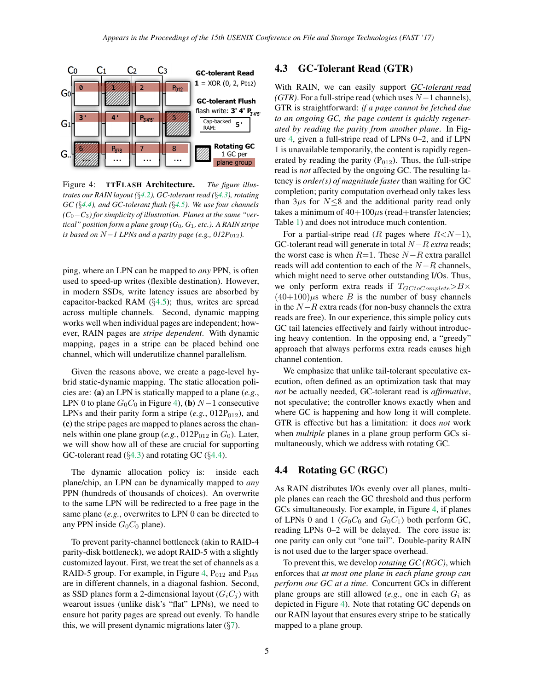

<span id="page-4-2"></span>Figure 4: TTFLASH Architecture. *The figure illustrates our RAIN layout (*§*[4.2\)](#page-3-2), GC-tolerant read (*§*[4.3\)](#page-4-0), rotating GC (*§*[4.4\)](#page-4-1), and GC-tolerant flush (*§*[4.5\)](#page-5-1). We use four channels (C*0−*C*3*) for simplicity of illustration. Planes at the same "vertical" position form a plane group (G*0*, G*1*, etc.). A RAIN stripe is based on N*−*1 LPNs and a parity page (e.g., 012P*<sub>012</sub>*).* 

ping, where an LPN can be mapped to *any* PPN, is often used to speed-up writes (flexible destination). However, in modern SSDs, write latency issues are absorbed by capacitor-backed RAM (§[4.5\)](#page-5-1); thus, writes are spread across multiple channels. Second, dynamic mapping works well when individual pages are independent; however, RAIN pages are *stripe dependent*. With dynamic mapping, pages in a stripe can be placed behind one channel, which will underutilize channel parallelism.

Given the reasons above, we create a page-level hybrid static-dynamic mapping. The static allocation policies are: (a) an LPN is statically mapped to a plane (*e.g.*, LPN 0 to plane  $G_0C_0$  in Figure [4\)](#page-4-2), (b)  $N-1$  consecutive LPNs and their parity form a stripe  $(e.g., 012P<sub>012</sub>)$ , and (c) the stripe pages are mapped to planes across the channels within one plane group  $(e.g., 012P<sub>012</sub>$  in  $G<sub>0</sub>$ ). Later, we will show how all of these are crucial for supporting GC-tolerant read  $(\S4.3)$  $(\S4.3)$  and rotating GC  $(\S4.4)$  $(\S4.4)$ .

The dynamic allocation policy is: inside each plane/chip, an LPN can be dynamically mapped to *any* PPN (hundreds of thousands of choices). An overwrite to the same LPN will be redirected to a free page in the same plane (*e.g.*, overwrites to LPN 0 can be directed to any PPN inside  $G_0C_0$  plane).

To prevent parity-channel bottleneck (akin to RAID-4 parity-disk bottleneck), we adopt RAID-5 with a slightly customized layout. First, we treat the set of channels as a RAID-5 group. For example, in Figure [4,](#page-4-2)  $P_{012}$  and  $P_{345}$ are in different channels, in a diagonal fashion. Second, as SSD planes form a 2-dimensional layout  $(G_iC_j)$  with wearout issues (unlike disk's "flat" LPNs), we need to ensure hot parity pages are spread out evenly. To handle this, we will present dynamic migrations later  $(\S7)$  $(\S7)$ .

## <span id="page-4-0"></span>4.3 GC-Tolerant Read (GTR)

With RAIN, we can easily support *GC-tolerant read (GTR)*. For a full-stripe read (which uses N−1 channels), GTR is straightforward: *if a page cannot be fetched due to an ongoing GC, the page content is quickly regenerated by reading the parity from another plane*. In Figure [4,](#page-4-2) given a full-stripe read of LPNs 0–2, and if LPN 1 is unavailable temporarily, the content is rapidly regenerated by reading the parity  $(P_{012})$ . Thus, the full-stripe read is *not* affected by the ongoing GC. The resulting latency is *order(s) of magnitude faster* than waiting for GC completion; parity computation overhead only takes less than  $3\mu s$  for  $N \leq 8$  and the additional parity read only takes a minimum of  $40+100\mu s$  (read+transfer latencies; Table [1\)](#page-3-1) and does not introduce much contention.

For a partial-stripe read (R pages where  $R < N-1$ ), GC-tolerant read will generate in total N−R *extra* reads; the worst case is when  $R=1$ . These  $N-R$  extra parallel reads will add contention to each of the  $N-R$  channels, which might need to serve other outstanding I/Os. Thus, we only perform extra reads if  $T_{GCtoComplete} > B \times$  $(40+100)\mu s$  where B is the number of busy channels in the  $N-R$  extra reads (for non-busy channels the extra reads are free). In our experience, this simple policy cuts GC tail latencies effectively and fairly without introducing heavy contention. In the opposing end, a "greedy" approach that always performs extra reads causes high channel contention.

We emphasize that unlike tail-tolerant speculative execution, often defined as an optimization task that may *not* be actually needed, GC-tolerant read is *affirmative*, not speculative; the controller knows exactly when and where GC is happening and how long it will complete. GTR is effective but has a limitation: it does *not* work when *multiple* planes in a plane group perform GCs simultaneously, which we address with rotating GC.

#### <span id="page-4-1"></span>4.4 Rotating GC (RGC)

As RAIN distributes I/Os evenly over all planes, multiple planes can reach the GC threshold and thus perform GCs simultaneously. For example, in Figure [4,](#page-4-2) if planes of LPNs 0 and 1 ( $G_0C_0$  and  $G_0C_1$ ) both perform GC, reading LPNs 0–2 will be delayed. The core issue is: one parity can only cut "one tail". Double-parity RAIN is not used due to the larger space overhead.

To prevent this, we develop *rotating GC (RGC)*, which enforces that *at most one plane in each plane group can perform one GC at a time*. Concurrent GCs in different plane groups are still allowed (*e.g.*, one in each  $G_i$  as depicted in Figure [4\)](#page-4-2). Note that rotating GC depends on our RAIN layout that ensures every stripe to be statically mapped to a plane group.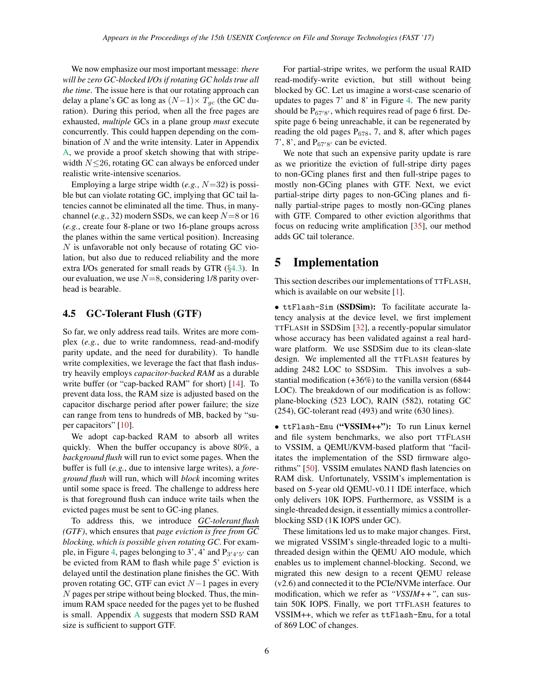We now emphasize our most important message: *there will be zero GC-blocked I/Os if rotating GC holds true all the time*. The issue here is that our rotating approach can delay a plane's GC as long as  $(N-1) \times T_{gc}$  (the GC duration). During this period, when all the free pages are exhausted, *multiple* GCs in a plane group *must* execute concurrently. This could happen depending on the combination of  $N$  and the write intensity. Later in Appendix [A,](#page-11-0) we provide a proof sketch showing that with stripewidth  $N \leq 26$ , rotating GC can always be enforced under realistic write-intensive scenarios.

Employing a large stripe width (*e.g.*, N=32) is possible but can violate rotating GC, implying that GC tail latencies cannot be eliminated all the time. Thus, in manychannel (*e.g.*, 32) modern SSDs, we can keep  $N=8$  or 16 (*e.g.*, create four 8-plane or two 16-plane groups across the planes within the same vertical position). Increasing N is unfavorable not only because of rotating GC violation, but also due to reduced reliability and the more extra I/Os generated for small reads by GTR (§[4.3\)](#page-4-0). In our evaluation, we use  $N=8$ , considering 1/8 parity overhead is bearable.

#### <span id="page-5-1"></span>4.5 GC-Tolerant Flush (GTF)

So far, we only address read tails. Writes are more complex (*e.g.*, due to write randomness, read-and-modify parity update, and the need for durability). To handle write complexities, we leverage the fact that flash industry heavily employs *capacitor-backed RAM* as a durable write buffer (or "cap-backed RAM" for short) [\[14\]](#page-12-12). To prevent data loss, the RAM size is adjusted based on the capacitor discharge period after power failure; the size can range from tens to hundreds of MB, backed by "super capacitors" [\[10\]](#page-12-11).

We adopt cap-backed RAM to absorb all writes quickly. When the buffer occupancy is above 80%, a *background flush* will run to evict some pages. When the buffer is full (*e.g.*, due to intensive large writes), a *foreground flush* will run, which will *block* incoming writes until some space is freed. The challenge to address here is that foreground flush can induce write tails when the evicted pages must be sent to GC-ing planes.

To address this, we introduce *GC-tolerant flush (GTF)*, which ensures that *page eviction is free from GC blocking, which is possible given rotating GC*. For exam-ple, in Figure [4,](#page-4-2) pages belonging to 3', 4' and  $P_{3'4'5'}$  can be evicted from RAM to flash while page 5' eviction is delayed until the destination plane finishes the GC. With proven rotating GC, GTF can evict  $N-1$  pages in every N pages per stripe without being blocked. Thus, the minimum RAM space needed for the pages yet to be flushed is small. Appendix [A](#page-11-0) suggests that modern SSD RAM size is sufficient to support GTF.

For partial-stripe writes, we perform the usual RAID read-modify-write eviction, but still without being blocked by GC. Let us imagine a worst-case scenario of updates to pages 7' and 8' in Figure [4.](#page-4-2) The new parity should be  $P_{67'8'}$ , which requires read of page 6 first. Despite page 6 being unreachable, it can be regenerated by reading the old pages  $P_{678}$ , 7, and 8, after which pages 7', 8', and  $P_{67'8'}$  can be evicted.

We note that such an expensive parity update is rare as we prioritize the eviction of full-stripe dirty pages to non-GCing planes first and then full-stripe pages to mostly non-GCing planes with GTF. Next, we evict partial-stripe dirty pages to non-GCing planes and finally partial-stripe pages to mostly non-GCing planes with GTF. Compared to other eviction algorithms that focus on reducing write amplification [\[35\]](#page-13-4), our method adds GC tail tolerance.

## <span id="page-5-0"></span>5 Implementation

This section describes our implementations of TTFLASH, which is available on our website [\[1\]](#page-12-17).

• ttFlash-Sim (SSDSim): To facilitate accurate latency analysis at the device level, we first implement TTFLASH in SSDSim [\[32\]](#page-13-11), a recently-popular simulator whose accuracy has been validated against a real hardware platform. We use SSDSim due to its clean-slate design. We implemented all the TTFLASH features by adding 2482 LOC to SSDSim. This involves a substantial modification (+36%) to the vanilla version (6844 LOC). The breakdown of our modification is as follow: plane-blocking (523 LOC), RAIN (582), rotating GC (254), GC-tolerant read (493) and write (630 lines).

• ttFlash-Emu ("VSSIM++"): To run Linux kernel and file system benchmarks, we also port TTFLASH to VSSIM, a QEMU/KVM-based platform that "facilitates the implementation of the SSD firmware algorithms" [\[50\]](#page-13-12). VSSIM emulates NAND flash latencies on RAM disk. Unfortunately, VSSIM's implementation is based on 5-year old QEMU-v0.11 IDE interface, which only delivers 10K IOPS. Furthermore, as VSSIM is a single-threaded design, it essentially mimics a controllerblocking SSD (1K IOPS under GC).

These limitations led us to make major changes. First, we migrated VSSIM's single-threaded logic to a multithreaded design within the QEMU AIO module, which enables us to implement channel-blocking. Second, we migrated this new design to a recent QEMU release (v2.6) and connected it to the PCIe/NVMe interface. Our modification, which we refer as *"VSSIM++"*, can sustain 50K IOPS. Finally, we port TTFLASH features to VSSIM++, which we refer as ttFlash-Emu, for a total of 869 LOC of changes.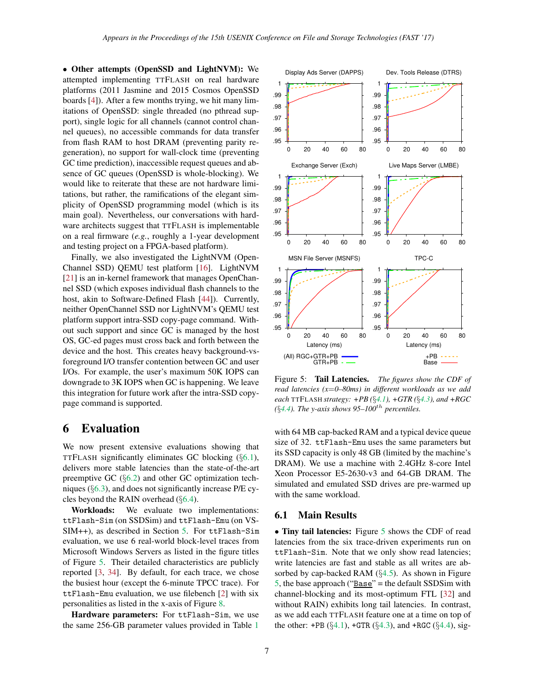• Other attempts (OpenSSD and LightNVM): We attempted implementing TTFLASH on real hardware platforms (2011 Jasmine and 2015 Cosmos OpenSSD boards [\[4\]](#page-12-16)). After a few months trying, we hit many limitations of OpenSSD: single threaded (no pthread support), single logic for all channels (cannot control channel queues), no accessible commands for data transfer from flash RAM to host DRAM (preventing parity regeneration), no support for wall-clock time (preventing GC time prediction), inaccessible request queues and absence of GC queues (OpenSSD is whole-blocking). We would like to reiterate that these are not hardware limitations, but rather, the ramifications of the elegant simplicity of OpenSSD programming model (which is its main goal). Nevertheless, our conversations with hardware architects suggest that TTFLASH is implementable on a real firmware (*e.g.*, roughly a 1-year development and testing project on a FPGA-based platform).

Finally, we also investigated the LightNVM (Open-Channel SSD) QEMU test platform [\[16\]](#page-12-18). LightNVM [\[21\]](#page-12-19) is an in-kernel framework that manages OpenChannel SSD (which exposes individual flash channels to the host, akin to Software-Defined Flash [\[44\]](#page-13-1)). Currently, neither OpenChannel SSD nor LightNVM's QEMU test platform support intra-SSD copy-page command. Without such support and since GC is managed by the host OS, GC-ed pages must cross back and forth between the device and the host. This creates heavy background-vsforeground I/O transfer contention between GC and user I/Os. For example, the user's maximum 50K IOPS can downgrade to 3K IOPS when GC is happening. We leave this integration for future work after the intra-SSD copypage command is supported.

# <span id="page-6-1"></span>6 Evaluation

We now present extensive evaluations showing that TTFLASH significantly eliminates GC blocking (§[6.1\)](#page-6-0), delivers more stable latencies than the state-of-the-art preemptive GC (§[6.2\)](#page-7-0) and other GC optimization techniques (§[6.3\)](#page-8-0), and does not significantly increase P/E cycles beyond the RAIN overhead  $(\S6.4)$  $(\S6.4)$ .

Workloads: We evaluate two implementations: ttFlash-Sim (on SSDSim) and ttFlash-Emu (on VS-SIM++), as described in Section [5.](#page-5-0) For ttFlash-Sim evaluation, we use 6 real-world block-level traces from Microsoft Windows Servers as listed in the figure titles of Figure [5.](#page-6-2) Their detailed characteristics are publicly reported [\[3,](#page-12-20) [34\]](#page-13-16). By default, for each trace, we chose the busiest hour (except the 6-minute TPCC trace). For ttFlash-Emu evaluation, we use filebench [\[2\]](#page-12-21) with six personalities as listed in the x-axis of Figure [8.](#page-8-2)

Hardware parameters: For ttFlash-Sim, we use the same 256-GB parameter values provided in Table [1](#page-3-1)



<span id="page-6-2"></span>Figure 5: Tail Latencies. *The figures show the CDF of read latencies (x*=*0–80ms) in different workloads as we add each* TTFLASH *strategy: +PB (*§*[4.1\)](#page-3-0), +GTR (*§*[4.3\)](#page-4-0), and +RGC*  $(§4.4)$  $(§4.4)$ *. The y-axis shows* 95–100<sup>th</sup> *percentiles.* 

with 64 MB cap-backed RAM and a typical device queue size of 32. ttFlash-Emu uses the same parameters but its SSD capacity is only 48 GB (limited by the machine's DRAM). We use a machine with 2.4GHz 8-core Intel Xeon Processor E5-2630-v3 and 64-GB DRAM. The simulated and emulated SSD drives are pre-warmed up with the same workload.

### <span id="page-6-0"></span>6.1 Main Results

• Tiny tail latencies: Figure [5](#page-6-2) shows the CDF of read latencies from the six trace-driven experiments run on ttFlash-Sim. Note that we only show read latencies; write latencies are fast and stable as all writes are absorbed by cap-backed RAM  $(\S4.5)$  $(\S4.5)$ . As shown in Figure [5,](#page-6-2) the base approach (" $Base$ " = the default SSDS im with channel-blocking and its most-optimum FTL [\[32\]](#page-13-11) and without RAIN) exhibits long tail latencies. In contrast, as we add each TTFLASH feature one at a time on top of the other:  $+PB$  (§[4.1\)](#page-3-0),  $+GTR$  (§[4.3\)](#page-4-0), and  $+RGC$  (§[4.4\)](#page-4-1), sig-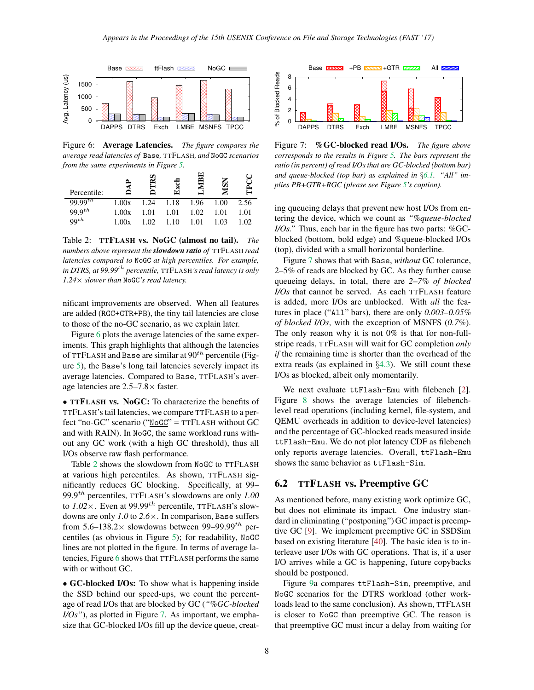

<span id="page-7-1"></span>Figure 6: Average Latencies. *The figure compares the average read latencies of* Base*,* TTFLASH*, and* NoGC *scenarios from the same experiments in Figure [5.](#page-6-2)*

| Percentile:           |       |      |      | Œ<br>≃ |      |      |
|-----------------------|-------|------|------|--------|------|------|
| 99.99 $t\overline{h}$ | 1.00x | 1.24 | 1.18 | 1.96   | 1.00 | 2.56 |
| $99.9^{th}$           | 1.00x | 1.01 | 1.01 | 1.02   | 1.01 | 1.01 |
| $99^{th}$             | 1.00x | 1.02 | 1.10 | 1.01   | 1.03 | 1.02 |

<span id="page-7-2"></span>Table 2: TTFLASH vs. NoGC (almost no tail). *The numbers above represent the slowdown ratio of* TTFLASH *read latencies compared to* NoGC *at high percentiles. For example, in DTRS, at 99.99*th *percentile,* TTFLASH*'s read latency is only 1.24*× *slower than* NoGC*'s read latency.*

nificant improvements are observed. When all features are added (RGC+GTR+PB), the tiny tail latencies are close to those of the no-GC scenario, as we explain later.

Figure [6](#page-7-1) plots the average latencies of the same experiments. This graph highlights that although the latencies of TTFLASH and Base are similar at  $90<sup>th</sup>$  percentile (Figure [5\)](#page-6-2), the Base's long tail latencies severely impact its average latencies. Compared to Base, TTFLASH's average latencies are 2.5–7.8× faster.

• TTFLASH vs. NoGC: To characterize the benefits of TTFLASH's tail latencies, we compare TTFLASH to a perfect "no-GC" scenario ("NoGC" = TTFLASH without GC and with RAIN). In NoGC, the same workload runs without any GC work (with a high GC threshold), thus all I/Os observe raw flash performance.

Table [2](#page-7-2) shows the slowdown from NoGC to TTFLASH at various high percentiles. As shown, TTFLASH significantly reduces GC blocking. Specifically, at 99– 99.9th percentiles, TTFLASH's slowdowns are only *1.00* to  $1.02 \times$ . Even at 99.99<sup>th</sup> percentile, TTFLASH's slowdowns are only *1.0* to *2.6*×. In comparison, Base suffers from 5.6–138.2 $\times$  slowdowns between 99–99.99<sup>th</sup> percentiles (as obvious in Figure [5\)](#page-6-2); for readability, NoGC lines are not plotted in the figure. In terms of average latencies, Figure [6](#page-7-1) shows that TTFLASH performs the same with or without GC.

• GC-blocked I/Os: To show what is happening inside the SSD behind our speed-ups, we count the percentage of read I/Os that are blocked by GC (*"%GC-blocked I/Os"*), as plotted in Figure [7.](#page-7-3) As important, we emphasize that GC-blocked I/Os fill up the device queue, creat-



<span id="page-7-3"></span>Figure 7: %GC-blocked read I/Os. *The figure above corresponds to the results in Figure [5.](#page-6-2) The bars represent the ratio (in percent) of read I/Os that are GC-blocked (bottom bar) and queue-blocked (top bar) as explained in* §*[6.1.](#page-6-0) "All" implies PB+GTR+RGC (please see Figure [5'](#page-6-2)s caption).*

ing queueing delays that prevent new host I/Os from entering the device, which we count as *"%queue-blocked I/Os.*" Thus, each bar in the figure has two parts: %GCblocked (bottom, bold edge) and %queue-blocked I/Os (top), divided with a small horizontal borderline.

Figure [7](#page-7-3) shows that with Base, *without* GC tolerance, 2–5% of reads are blocked by GC. As they further cause queueing delays, in total, there are *2–7% of blocked I/Os* that cannot be served. As each TTFLASH feature is added, more I/Os are unblocked. With *all* the features in place ("All" bars), there are only *0.003–0.05% of blocked I/Os*, with the exception of MSNFS (*0.7%*). The only reason why it is not  $0\%$  is that for non-fullstripe reads, TTFLASH will wait for GC completion *only if* the remaining time is shorter than the overhead of the extra reads (as explained in  $\S 4.3$ ). We still count these I/Os as blocked, albeit only momentarily.

We next evaluate ttFlash-Emu with filebench [\[2\]](#page-12-21). Figure [8](#page-8-2) shows the average latencies of filebenchlevel read operations (including kernel, file-system, and QEMU overheads in addition to device-level latencies) and the percentage of GC-blocked reads measured inside ttFlash-Emu. We do not plot latency CDF as filebench only reports average latencies. Overall, ttFlash-Emu shows the same behavior as ttFlash-Sim.

## <span id="page-7-0"></span>6.2 TTFLASH vs. Preemptive GC

As mentioned before, many existing work optimize GC, but does not eliminate its impact. One industry standard in eliminating ("postponing") GC impact is preemptive GC [\[9\]](#page-12-13). We implement preemptive GC in SSDSim based on existing literature [\[40\]](#page-13-13). The basic idea is to interleave user I/Os with GC operations. That is, if a user I/O arrives while a GC is happening, future copybacks should be postponed.

Figure [9a](#page-8-3) compares ttFlash-Sim, preemptive, and NoGC scenarios for the DTRS workload (other workloads lead to the same conclusion). As shown, TTFLASH is closer to NoGC than preemptive GC. The reason is that preemptive GC must incur a delay from waiting for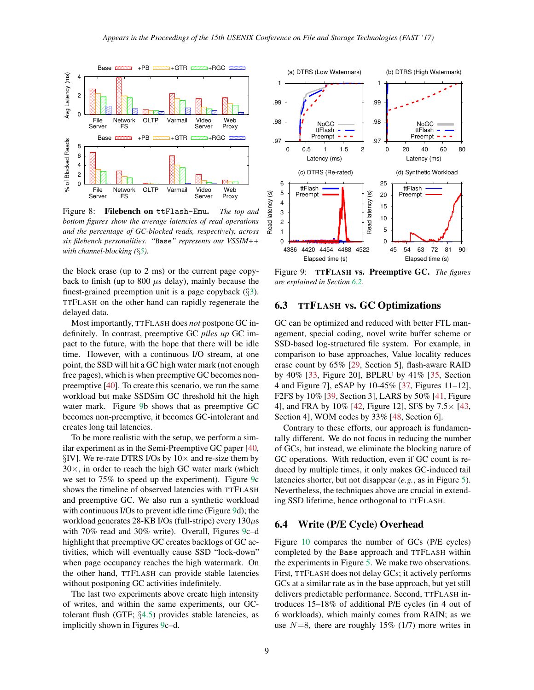

<span id="page-8-2"></span>Figure 8: Filebench on ttFlash-Emu. *The top and bottom figures show the average latencies of read operations and the percentage of GC-blocked reads, respectively, across six filebench personalities. "*Base*" represents our VSSIM++ with channel-blocking (*§*[5\)](#page-5-0).*

the block erase (up to 2 ms) or the current page copyback to finish (up to 800  $\mu$ s delay), mainly because the finest-grained preemption unit is a page copyback  $(\S3)$  $(\S3)$ . TTFLASH on the other hand can rapidly regenerate the delayed data.

Most importantly, TTFLASH does *not* postpone GC indefinitely. In contrast, preemptive GC *piles up* GC impact to the future, with the hope that there will be idle time. However, with a continuous I/O stream, at one point, the SSD will hit a GC high water mark (not enough free pages), which is when preemptive GC becomes nonpreemptive [\[40\]](#page-13-13). To create this scenario, we run the same workload but make SSDSim GC threshold hit the high water mark. Figure [9b](#page-8-3) shows that as preemptive GC becomes non-preemptive, it becomes GC-intolerant and creates long tail latencies.

To be more realistic with the setup, we perform a similar experiment as in the Semi-Preemptive GC paper [\[40,](#page-13-13) §IV]. We re-rate DTRS I/Os by  $10\times$  and re-size them by  $30\times$ , in order to reach the high GC water mark (which we set to 75% to speed up the experiment). Figure [9c](#page-8-3) shows the timeline of observed latencies with TTFLASH and preemptive GC. We also run a synthetic workload with continuous I/Os to prevent idle time (Figure [9d](#page-8-3)); the workload generates 28-KB I/Os (full-stripe) every  $130\mu s$ with 70% read and 30% write). Overall, Figures [9c](#page-8-3)–d highlight that preemptive GC creates backlogs of GC activities, which will eventually cause SSD "lock-down" when page occupancy reaches the high watermark. On the other hand, TTFLASH can provide stable latencies without postponing GC activities indefinitely.

The last two experiments above create high intensity of writes, and within the same experiments, our GCtolerant flush (GTF; §[4.5\)](#page-5-1) provides stable latencies, as implicitly shown in Figures [9c](#page-8-3)–d.



<span id="page-8-3"></span>Figure 9: TTFLASH vs. Preemptive GC. *The figures are explained in Section [6.2.](#page-7-0)*

#### <span id="page-8-0"></span>6.3 TTFLASH vs. GC Optimizations

GC can be optimized and reduced with better FTL management, special coding, novel write buffer scheme or SSD-based log-structured file system. For example, in comparison to base approaches, Value locality reduces erase count by 65% [\[29,](#page-13-3) Section 5], flash-aware RAID by 40% [\[33,](#page-13-9) Figure 20], BPLRU by 41% [\[35,](#page-13-4) Section 4 and Figure 7], eSAP by 10-45% [\[37,](#page-13-5) Figures 11–12], F2FS by 10% [\[39,](#page-13-6) Section 3], LARS by 50% [\[41,](#page-13-14) Figure 4], and FRA by 10% [\[42,](#page-13-15) Figure 12], SFS by 7.5× [\[43,](#page-13-7) Section 4], WOM codes by 33% [\[48,](#page-13-8) Section 6].

Contrary to these efforts, our approach is fundamentally different. We do not focus in reducing the number of GCs, but instead, we eliminate the blocking nature of GC operations. With reduction, even if GC count is reduced by multiple times, it only makes GC-induced tail latencies shorter, but not disappear (*e.g.*, as in Figure [5\)](#page-6-2). Nevertheless, the techniques above are crucial in extending SSD lifetime, hence orthogonal to TTFLASH.

#### <span id="page-8-1"></span>6.4 Write (P/E Cycle) Overhead

Figure [10](#page-9-1) compares the number of GCs (P/E cycles) completed by the Base approach and TTFLASH within the experiments in Figure [5.](#page-6-2) We make two observations. First, TTFLASH does not delay GCs; it actively performs GCs at a similar rate as in the base approach, but yet still delivers predictable performance. Second, TTFLASH introduces 15–18% of additional P/E cycles (in 4 out of 6 workloads), which mainly comes from RAIN; as we use  $N=8$ , there are roughly 15% (1/7) more writes in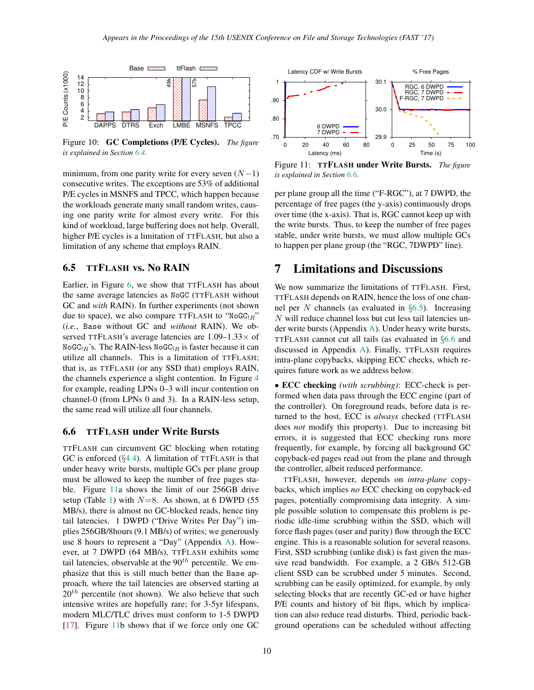

<span id="page-9-1"></span>Figure 10: GC Completions (P/E Cycles). *The figure is explained in Section [6.4.](#page-8-1)*

minimum, from one parity write for every seven  $(N-1)$ consecutive writes. The exceptions are 53% of additional P/E cycles in MSNFS and TPCC, which happen because the workloads generate many small random writes, causing one parity write for almost every write. For this kind of workload, large buffering does not help. Overall, higher P/E cycles is a limitation of TTFLASH, but also a limitation of any scheme that employs RAIN.

## <span id="page-9-4"></span>6.5 TTFLASH vs. No RAIN

Earlier, in Figure [6,](#page-7-1) we show that TTFLASH has about the same average latencies as NoGC (TTFLASH without GC and *with* RAIN). In further experiments (not shown due to space), we also compare TTFLASH to "NoGC $_{R}$ " (*i.e.*, Base without GC and *without* RAIN). We observed TTFLASH's average latencies are  $1.09-1.33\times$  of  $N$ oGC<sub>!R</sub>'s. The RAIN-less  $N$ oGC<sub>!R</sub> is faster because it can utilize all channels. This is a limitation of TTFLASH; that is, as TTFLASH (or any SSD that) employs RAIN, the channels experience a slight contention. In Figure [4](#page-4-2) for example, reading LPNs 0–3 will incur contention on channel-0 (from LPNs 0 and 3). In a RAIN-less setup, the same read will utilize all four channels.

### <span id="page-9-3"></span>6.6 TTFLASH under Write Bursts

TTFLASH can circumvent GC blocking when rotating GC is enforced  $(\S4.4)$  $(\S4.4)$ . A limitation of TTFLASH is that under heavy write bursts, multiple GCs per plane group must be allowed to keep the number of free pages stable. Figure [11a](#page-9-2) shows the limit of our 256GB drive setup (Table [1\)](#page-3-1) with  $N=8$ . As shown, at 6 DWPD (55) MB/s), there is almost no GC-blocked reads, hence tiny tail latencies. 1 DWPD ("Drive Writes Per Day") implies 256GB/8hours (9.1 MB/s) of writes; we generously use 8 hours to represent a "Day" (Appendix [A\)](#page-11-0). However, at 7 DWPD (64 MB/s), TTFLASH exhibits some tail latencies, observable at the  $90<sup>th</sup>$  percentile. We emphasize that this is still much better than the Base approach, where the tail latencies are observed starting at  $20<sup>th</sup>$  percentile (not shown). We also believe that such intensive writes are hopefully rare; for 3-5yr lifespans, modern MLC/TLC drives must conform to 1-5 DWPD [\[17\]](#page-12-22). Figure [11b](#page-9-2) shows that if we force only one GC



<span id="page-9-2"></span>Figure 11: TTFLASH under Write Bursts. *The figure is explained in Section [6.6.](#page-9-3)*

per plane group all the time ("F-RGC"), at 7 DWPD, the percentage of free pages (the y-axis) continuously drops over time (the x-axis). That is, RGC cannot keep up with the write bursts. Thus, to keep the number of free pages stable, under write bursts, we must allow multiple GCs to happen per plane group (the "RGC, 7DWPD" line).

# <span id="page-9-0"></span>7 Limitations and Discussions

We now summarize the limitations of TTFLASH. First, TTFLASH depends on RAIN, hence the loss of one channel per N channels (as evaluated in  $\S6.5$ ). Increasing N will reduce channel loss but cut less tail latencies under write bursts (Appendix [A\)](#page-11-0). Under heavy write bursts, TTFLASH cannot cut all tails (as evaluated in §[6.6](#page-9-3) and discussed in Appendix [A\)](#page-11-0). Finally, TTFLASH requires intra-plane copybacks, skipping ECC checks, which requires future work as we address below.

• ECC checking *(with scrubbing)*: ECC-check is performed when data pass through the ECC engine (part of the controller). On foreground reads, before data is returned to the host, ECC is *always* checked (TTFLASH does *not* modify this property). Due to increasing bit errors, it is suggested that ECC checking runs more frequently, for example, by forcing all background GC copyback-ed pages read out from the plane and through the controller, albeit reduced performance.

TTFLASH, however, depends on *intra-plane* copybacks, which implies *no* ECC checking on copyback-ed pages, potentially compromising data integrity. A simple possible solution to compensate this problem is periodic idle-time scrubbing within the SSD, which will force flash pages (user and parity) flow through the ECC engine. This is a reasonable solution for several reasons. First, SSD scrubbing (unlike disk) is fast given the massive read bandwidth. For example, a 2 GB/s 512-GB client SSD can be scrubbed under 5 minutes. Second, scrubbing can be easily optimized, for example, by only selecting blocks that are recently GC-ed or have higher P/E counts and history of bit flips, which by implication can also reduce read disturbs. Third, periodic background operations can be scheduled without affecting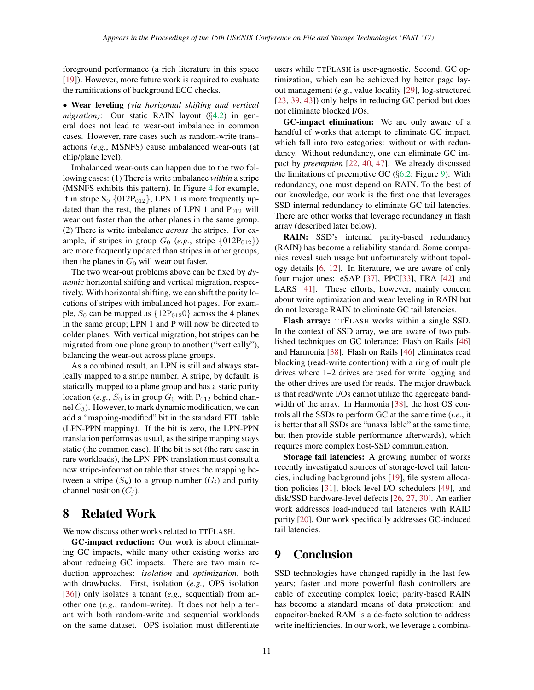foreground performance (a rich literature in this space [\[19\]](#page-12-23)). However, more future work is required to evaluate the ramifications of background ECC checks.

• Wear leveling *(via horizontal shifting and vertical migration)*: Our static RAIN layout (§[4.2\)](#page-3-2) in general does not lead to wear-out imbalance in common cases. However, rare cases such as random-write transactions (*e.g.*, MSNFS) cause imbalanced wear-outs (at chip/plane level).

Imbalanced wear-outs can happen due to the two following cases: (1) There is write imbalance *within* a stripe (MSNFS exhibits this pattern). In Figure [4](#page-4-2) for example, if in stripe  $S_0$  {012P<sub>012</sub>}, LPN 1 is more frequently updated than the rest, the planes of LPN 1 and  $P_{012}$  will wear out faster than the other planes in the same group. (2) There is write imbalance *across* the stripes. For example, if stripes in group  $G_0$  (*e.g.*, stripe  $\{012P_{012}\}\$ ) are more frequently updated than stripes in other groups, then the planes in  $G_0$  will wear out faster.

The two wear-out problems above can be fixed by *dynamic* horizontal shifting and vertical migration, respectively. With horizontal shifting, we can shift the parity locations of stripes with imbalanced hot pages. For example,  $S_0$  can be mapped as  $\{12P_{012}0\}$  across the 4 planes in the same group; LPN 1 and P will now be directed to colder planes. With vertical migration, hot stripes can be migrated from one plane group to another ("vertically"), balancing the wear-out across plane groups.

As a combined result, an LPN is still and always statically mapped to a stripe number. A stripe, by default, is statically mapped to a plane group and has a static parity location (*e.g.*,  $S_0$  is in group  $G_0$  with P<sub>012</sub> behind channel  $C_3$ ). However, to mark dynamic modification, we can add a "mapping-modified" bit in the standard FTL table (LPN-PPN mapping). If the bit is zero, the LPN-PPN translation performs as usual, as the stripe mapping stays static (the common case). If the bit is set (the rare case in rare workloads), the LPN-PPN translation must consult a new stripe-information table that stores the mapping between a stripe  $(S_k)$  to a group number  $(G_i)$  and parity channel position  $(C_i)$ .

## <span id="page-10-0"></span>8 Related Work

We now discuss other works related to TTFLASH.

GC-impact reduction: Our work is about eliminating GC impacts, while many other existing works are about reducing GC impacts. There are two main reduction approaches: *isolation* and *optimization*, both with drawbacks. First, isolation (*e.g.*, OPS isolation [\[36\]](#page-13-2)) only isolates a tenant (*e.g.*, sequential) from another one (*e.g.*, random-write). It does not help a tenant with both random-write and sequential workloads on the same dataset. OPS isolation must differentiate users while TTFLASH is user-agnostic. Second, GC optimization, which can be achieved by better page layout management (*e.g.*, value locality [\[29\]](#page-13-3), log-structured [\[23,](#page-12-3) [39,](#page-13-6) [43\]](#page-13-7)) only helps in reducing GC period but does not eliminate blocked I/Os.

GC-impact elimination: We are only aware of a handful of works that attempt to eliminate GC impact, which fall into two categories: without or with redundancy. Without redundancy, one can eliminate GC impact by *preemption* [\[22,](#page-12-24) [40,](#page-13-13) [47\]](#page-13-17). We already discussed the limitations of preemptive GC  $(\S6.2;$  $(\S6.2;$  Figure [9\)](#page-8-3). With redundancy, one must depend on RAIN. To the best of our knowledge, our work is the first one that leverages SSD internal redundancy to eliminate GC tail latencies. There are other works that leverage redundancy in flash array (described later below).

RAIN: SSD's internal parity-based redundancy (RAIN) has become a reliability standard. Some companies reveal such usage but unfortunately without topology details [\[6,](#page-12-9) [12\]](#page-12-10). In literature, we are aware of only four major ones: eSAP [\[37\]](#page-13-5), PPC[\[33\]](#page-13-9), FRA [\[42\]](#page-13-15) and LARS [\[41\]](#page-13-14). These efforts, however, mainly concern about write optimization and wear leveling in RAIN but do not leverage RAIN to eliminate GC tail latencies.

Flash array: TTFLASH works within a single SSD. In the context of SSD array, we are aware of two published techniques on GC tolerance: Flash on Rails [\[46\]](#page-13-18) and Harmonia [\[38\]](#page-13-19). Flash on Rails [\[46\]](#page-13-18) eliminates read blocking (read-write contention) with a ring of multiple drives where 1–2 drives are used for write logging and the other drives are used for reads. The major drawback is that read/write I/Os cannot utilize the aggregate band-width of the array. In Harmonia [\[38\]](#page-13-19), the host OS controls all the SSDs to perform GC at the same time (*i.e.*, it is better that all SSDs are "unavailable" at the same time, but then provide stable performance afterwards), which requires more complex host-SSD communication.

Storage tail latencies: A growing number of works recently investigated sources of storage-level tail latencies, including background jobs [\[19\]](#page-12-23), file system allocation policies [\[31\]](#page-13-20), block-level I/O schedulers [\[49\]](#page-13-21), and disk/SSD hardware-level defects [\[26,](#page-12-25) [27,](#page-12-26) [30\]](#page-13-0). An earlier work addresses load-induced tail latencies with RAID parity [\[20\]](#page-12-27). Our work specifically addresses GC-induced tail latencies.

## <span id="page-10-1"></span>9 Conclusion

SSD technologies have changed rapidly in the last few years; faster and more powerful flash controllers are cable of executing complex logic; parity-based RAIN has become a standard means of data protection; and capacitor-backed RAM is a de-facto solution to address write inefficiencies. In our work, we leverage a combina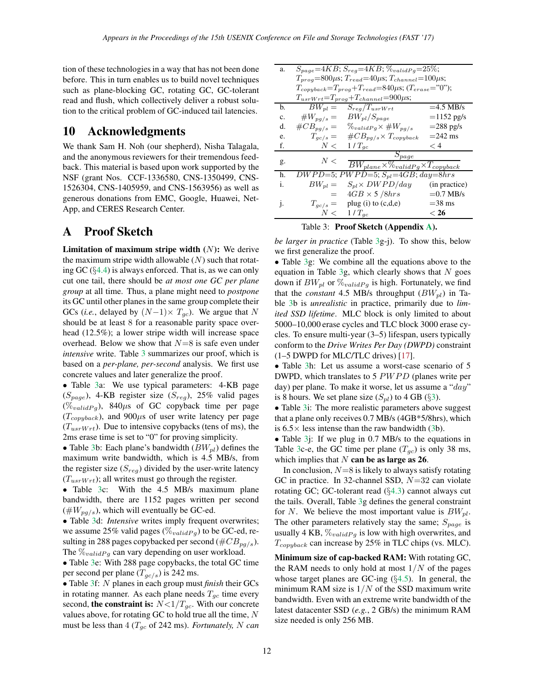tion of these technologies in a way that has not been done before. This in turn enables us to build novel techniques such as plane-blocking GC, rotating GC, GC-tolerant read and flush, which collectively deliver a robust solution to the critical problem of GC-induced tail latencies.

## 10 Acknowledgments

We thank Sam H. Noh (our shepherd), Nisha Talagala, and the anonymous reviewers for their tremendous feedback. This material is based upon work supported by the NSF (grant Nos. CCF-1336580, CNS-1350499, CNS-1526304, CNS-1405959, and CNS-1563956) as well as generous donations from EMC, Google, Huawei, Net-App, and CERES Research Center.

# <span id="page-11-0"></span>A Proof Sketch

**Limitation of maximum stripe width**  $(N)$ **:** We derive the maximum stripe width allowable  $(N)$  such that rotating GC (§[4.4\)](#page-4-1) is always enforced. That is, as we can only cut one tail, there should be *at most one GC per plane group* at all time. Thus, a plane might need to *postpone* its GC until other planes in the same group complete their GCs (*i.e.*, delayed by  $(N-1) \times T_{gc}$ ). We argue that N should be at least 8 for a reasonable parity space overhead (12.5%); a lower stripe width will increase space overhead. Below we show that  $N=8$  is safe even under *intensive* write. Table [3](#page-11-1) summarizes our proof, which is based on a *per-plane, per-second* analysis. We first use concrete values and later generalize the proof.

• Table [3a](#page-11-1): We use typical parameters: 4-KB page  $(S_{page})$ , 4-KB register size  $(S_{reg})$ , 25% valid pages  $(\%_{validPq})$ , 840 $\mu$ s of GC copyback time per page  $(T_{\textit{copyback}})$ , and  $900\mu s$  of user write latency per page  $(T_{usrWrt})$ . Due to intensive copybacks (tens of ms), the 2ms erase time is set to "0" for proving simplicity.

• Table [3b](#page-11-1): Each plane's bandwidth  $(BW_{nl})$  defines the maximum write bandwidth, which is 4.5 MB/s, from the register size  $(S_{reg})$  divided by the user-write latency  $(T_{usrWrt})$ ; all writes must go through the register.

• Table [3c](#page-11-1): With the 4.5 MB/s maximum plane bandwidth, there are 1152 pages written per second  $(\#W_{pg/s})$ , which will eventually be GC-ed.

• Table [3d](#page-11-1): *Intensive* writes imply frequent overwrites; we assume 25% valid pages ( $\%_{validPg}$ ) to be GC-ed, resulting in 288 pages copybacked per second ( $\#CB_{pg/s}$ ). The  $\%_{validPg}$  can vary depending on user workload.

• Table [3e](#page-11-1): With 288 page copybacks, the total GC time per second per plane  $(T_{gc/s})$  is 242 ms.

• Table [3f](#page-11-1): N planes in each group must *finish* their GCs in rotating manner. As each plane needs  $T_{gc}$  time every second, the constraint is:  $N < 1/T_{gc}$ . With our concrete values above, for rotating GC to hold true all the time,  $N$ must be less than  $4 (T_{gc}$  of 242 ms). *Fortunately, N can* 

| a.           | $S_{page} = 4KB; S_{reg} = 4KB; \%_{validPg} = 25\%;$            |                                                      |               |  |  |  |  |
|--------------|------------------------------------------------------------------|------------------------------------------------------|---------------|--|--|--|--|
|              | $T_{prog}=800\mu s; T_{read}=40\mu s; T_{channel}=100\mu s;$     |                                                      |               |  |  |  |  |
|              | $T_{copyback}=T_{prog}+T_{read}=840 \mu s;$ ( $T_{erase}=$ "0"); |                                                      |               |  |  |  |  |
|              | $T_{usrWrt} = T_{prog} + T_{channel} = 900 \mu s;$               |                                                      |               |  |  |  |  |
| b.           | $BW_{pl} =$                                                      | $S_{reg}/T_{usrWrt}$                                 | $=4.5$ MB/s   |  |  |  |  |
| c.           | $\#W_{pg/s} =$                                                   | $BW_{pl}/S_{page}$                                   | $=1152$ pg/s  |  |  |  |  |
| d.           | $\#CB_{pg/s} =$                                                  | $\%_{validPg} \times \#W_{pg/s}$                     | $=$ 288 pg/s  |  |  |  |  |
| e.           | $T_{gc/s} =$                                                     | $\#CB_{pg/s} \times T_{copyback}$                    | $=$ 242 ms    |  |  |  |  |
| f.           | N<                                                               | $1/T_{ac}$                                           | $<$ 4         |  |  |  |  |
|              |                                                                  | $S_{page}$                                           |               |  |  |  |  |
| g.           | N<                                                               | $BW_{plane} \times \%_{validPg} \times T_{copyback}$ |               |  |  |  |  |
| h.           |                                                                  | $DWPD=5; PWPD=5; S_{pl}=4GB; day=8hrs$               |               |  |  |  |  |
| i.           | $BW_{pl} =$                                                      | $S_{pl} \times DWPD/day$                             | (in practice) |  |  |  |  |
|              | $=$                                                              | $4GB \times 5/8 hrs$                                 | $=0.7$ MB/s   |  |  |  |  |
| $\mathbf{1}$ | $T_{gc/s} =$                                                     | plug $(i)$ to $(c,d,e)$                              | $=$ 38 ms     |  |  |  |  |
|              | N<                                                               | $1/T_{qc}$                                           | $<$ 26        |  |  |  |  |

<span id="page-11-1"></span>Table 3: Proof Sketch (Appendix [A\)](#page-11-0).

*be larger in practice* (Table [3g](#page-11-1)-j). To show this, below we first generalize the proof.

• Table [3g](#page-11-1): We combine all the equations above to the equation in Table [3g](#page-11-1), which clearly shows that  $N$  goes down if  $BW_{pl}$  or  $\mathcal{C}_{validPg}$  is high. Fortunately, we find that the *constant* 4.5 MB/s throughput  $(BW_{pl})$  in Table [3b](#page-11-1) is *unrealistic* in practice, primarily due to *limited SSD lifetime*. MLC block is only limited to about 5000–10,000 erase cycles and TLC block 3000 erase cycles. To ensure multi-year (3–5) lifespan, users typically conform to the *Drive Writes Per Day (DWPD)* constraint  $(1–5$  DWPD for MLC/TLC drives)  $[17]$ .

• Table [3h](#page-11-1): Let us assume a worst-case scenario of 5 DWPD, which translates to 5  $PWPD$  (planes write per day) per plane. To make it worse, let us assume a " $day$ " is 8 hours. We set plane size  $(S_{pl})$  to 4 GB (§[3\)](#page-1-1).

• Table 3*i*: The more realistic parameters above suggest that a plane only receives 0.7 MB/s (4GB\*5/8hrs), which is  $6.5 \times$  less intense than the raw bandwidth [\(3b](#page-11-1)).

• Table 3*j*: If we plug in 0.7 MB/s to the equations in Table [3c](#page-11-1)-e, the GC time per plane  $(T_{gc})$  is only 38 ms, which implies that  $N$  can be as large as 26.

In conclusion,  $N=8$  is likely to always satisfy rotating GC in practice. In 32-channel SSD,  $N=32$  can violate rotating GC; GC-tolerant read  $(\S4.3)$  $(\S4.3)$  cannot always cut the tails. Overall, Table [3g](#page-11-1) defines the general constraint for N. We believe the most important value is  $BW_{pl}$ . The other parameters relatively stay the same;  $S_{page}$  is usually 4 KB,  $\mathcal{V}_{validPq}$  is low with high overwrites, and  $T_{\textit{copyback}}$  can increase by 25% in TLC chips (vs. MLC).

Minimum size of cap-backed RAM: With rotating GC, the RAM needs to only hold at most  $1/N$  of the pages whose target planes are GC-ing (§[4.5\)](#page-5-1). In general, the minimum RAM size is  $1/N$  of the SSD maximum write bandwidth. Even with an extreme write bandwidth of the latest datacenter SSD (*e.g.*, 2 GB/s) the minimum RAM size needed is only 256 MB.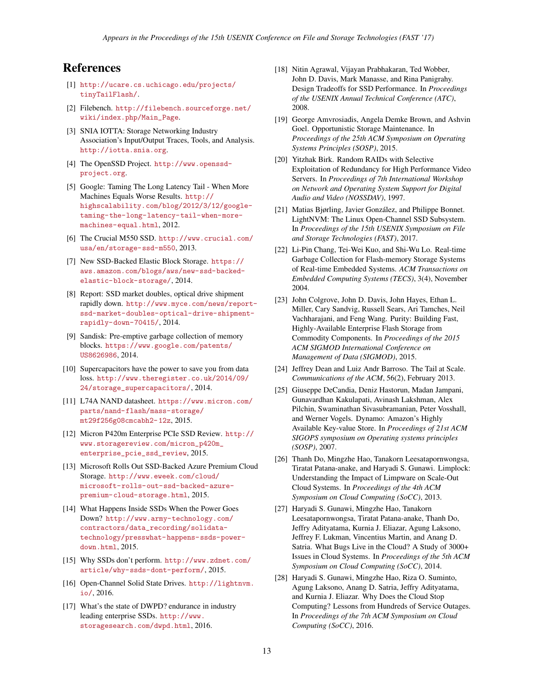# <span id="page-12-17"></span>References

- [1] [http://ucare.cs.uchicago.edu/projects/](http://ucare.cs.uchicago.edu/projects/tinyTailFlash/) [tinyTailFlash/](http://ucare.cs.uchicago.edu/projects/tinyTailFlash/).
- <span id="page-12-21"></span><span id="page-12-20"></span>[2] Filebench. [http://filebench.sourceforge.net/](http://filebench.sourceforge.net/wiki/index.php/Main_Page) [wiki/index.php/Main\\_Page](http://filebench.sourceforge.net/wiki/index.php/Main_Page).
- [3] SNIA IOTTA: Storage Networking Industry Association's Input/Output Traces, Tools, and Analysis. <http://iotta.snia.org>.
- <span id="page-12-16"></span>[4] The OpenSSD Project. [http://www.openssd](http://www.openssd-project.org)[project.org](http://www.openssd-project.org).
- <span id="page-12-7"></span>[5] Google: Taming The Long Latency Tail - When More Machines Equals Worse Results. [http://](http://highscalability.com/blog/2012/3/12/google-taming-the-long-latency-tail-when-more-machines-equal.html) [highscalability.com/blog/2012/3/12/google](http://highscalability.com/blog/2012/3/12/google-taming-the-long-latency-tail-when-more-machines-equal.html)[taming-the-long-latency-tail-when-more](http://highscalability.com/blog/2012/3/12/google-taming-the-long-latency-tail-when-more-machines-equal.html)[machines-equal.html](http://highscalability.com/blog/2012/3/12/google-taming-the-long-latency-tail-when-more-machines-equal.html), 2012.
- <span id="page-12-9"></span>[6] The Crucial M550 SSD. [http://www.crucial.com/](http://www.crucial.com/usa/en/storage-ssd-m550) [usa/en/storage-ssd-m550](http://www.crucial.com/usa/en/storage-ssd-m550), 2013.
- <span id="page-12-1"></span>[7] New SSD-Backed Elastic Block Storage. [https://](https://aws.amazon.com/blogs/aws/new-ssd-backed-elastic-block-storage/) [aws.amazon.com/blogs/aws/new-ssd-backed](https://aws.amazon.com/blogs/aws/new-ssd-backed-elastic-block-storage/)[elastic-block-storage/](https://aws.amazon.com/blogs/aws/new-ssd-backed-elastic-block-storage/), 2014.
- <span id="page-12-0"></span>[8] Report: SSD market doubles, optical drive shipment rapidly down. [http://www.myce.com/news/report](http://www.myce.com/news/report-ssd-market-doubles-optical-drive-shipment-rapidly-down-70415/)[ssd-market-doubles-optical-drive-shipment](http://www.myce.com/news/report-ssd-market-doubles-optical-drive-shipment-rapidly-down-70415/)[rapidly-down-70415/](http://www.myce.com/news/report-ssd-market-doubles-optical-drive-shipment-rapidly-down-70415/), 2014.
- <span id="page-12-13"></span>[9] Sandisk: Pre-emptive garbage collection of memory blocks. [https://www.google.com/patents/](https://www.google.com/patents/US8626986) [US8626986](https://www.google.com/patents/US8626986), 2014.
- <span id="page-12-11"></span>[10] Supercapacitors have the power to save you from data loss. [http://www.theregister.co.uk/2014/09/](http://www.theregister.co.uk/2014/09/24/storage_supercapacitors/) [24/storage\\_supercapacitors/](http://www.theregister.co.uk/2014/09/24/storage_supercapacitors/), 2014.
- <span id="page-12-14"></span>[11] L74A NAND datasheet. [https://www.micron.com/](https://www.micron.com/parts/nand-flash/mass-storage/mt29f256g08cmcabh2-12z) [parts/nand-flash/mass-storage/](https://www.micron.com/parts/nand-flash/mass-storage/mt29f256g08cmcabh2-12z) [mt29f256g08cmcabh2-12z](https://www.micron.com/parts/nand-flash/mass-storage/mt29f256g08cmcabh2-12z), 2015.
- <span id="page-12-10"></span>[12] Micron P420m Enterprise PCIe SSD Review. [http://](http://www.storagereview.com/micron_p420m_enterprise_pcie_ssd_review) [www.storagereview.com/micron\\_p420m\\_](http://www.storagereview.com/micron_p420m_enterprise_pcie_ssd_review) [enterprise\\_pcie\\_ssd\\_review](http://www.storagereview.com/micron_p420m_enterprise_pcie_ssd_review), 2015.
- <span id="page-12-2"></span>[13] Microsoft Rolls Out SSD-Backed Azure Premium Cloud Storage. [http://www.eweek.com/cloud/](http://www.eweek.com/cloud/microsoft-rolls-out-ssd-backed-azure-premium-cloud-storage.html) [microsoft-rolls-out-ssd-backed-azure](http://www.eweek.com/cloud/microsoft-rolls-out-ssd-backed-azure-premium-cloud-storage.html)[premium-cloud-storage.html](http://www.eweek.com/cloud/microsoft-rolls-out-ssd-backed-azure-premium-cloud-storage.html), 2015.
- <span id="page-12-12"></span>[14] What Happens Inside SSDs When the Power Goes Down? [http://www.army-technology.com/](http://www.army-technology.com/contractors/data_recording/solidata-technology/presswhat-happens-ssds-power-down.html) [contractors/data\\_recording/solidata](http://www.army-technology.com/contractors/data_recording/solidata-technology/presswhat-happens-ssds-power-down.html)[technology/presswhat-happens-ssds-power](http://www.army-technology.com/contractors/data_recording/solidata-technology/presswhat-happens-ssds-power-down.html)[down.html](http://www.army-technology.com/contractors/data_recording/solidata-technology/presswhat-happens-ssds-power-down.html), 2015.
- <span id="page-12-6"></span>[15] Why SSDs don't perform. [http://www.zdnet.com/](http://www.zdnet.com/article/why-ssds-dont-perform/) [article/why-ssds-dont-perform/](http://www.zdnet.com/article/why-ssds-dont-perform/), 2015.
- <span id="page-12-18"></span>[16] Open-Channel Solid State Drives. [http://lightnvm.](http://lightnvm.io/) [io/](http://lightnvm.io/), 2016.
- <span id="page-12-22"></span>[17] What's the state of DWPD? endurance in industry leading enterprise SSDs. [http://www.](http://www.storagesearch.com/dwpd.html) [storagesearch.com/dwpd.html](http://www.storagesearch.com/dwpd.html), 2016.
- <span id="page-12-15"></span>[18] Nitin Agrawal, Vijayan Prabhakaran, Ted Wobber, John D. Davis, Mark Manasse, and Rina Panigrahy. Design Tradeoffs for SSD Performance. In *Proceedings of the USENIX Annual Technical Conference (ATC)*, 2008.
- <span id="page-12-23"></span>[19] George Amvrosiadis, Angela Demke Brown, and Ashvin Goel. Opportunistic Storage Maintenance. In *Proceedings of the 25th ACM Symposium on Operating Systems Principles (SOSP)*, 2015.
- <span id="page-12-27"></span>[20] Yitzhak Birk. Random RAIDs with Selective Exploitation of Redundancy for High Performance Video Servers. In *Proceedings of 7th International Workshop on Network and Operating System Support for Digital Audio and Video (NOSSDAV)*, 1997.
- <span id="page-12-19"></span>[21] Matias Bjørling, Javier González, and Philippe Bonnet. LightNVM: The Linux Open-Channel SSD Subsystem. In *Proceedings of the 15th USENIX Symposium on File and Storage Technologies (FAST)*, 2017.
- <span id="page-12-24"></span>[22] Li-Pin Chang, Tei-Wei Kuo, and Shi-Wu Lo. Real-time Garbage Collection for Flash-memory Storage Systems of Real-time Embedded Systems. *ACM Transactions on Embedded Computing Systems (TECS)*, 3(4), November 2004.
- <span id="page-12-3"></span>[23] John Colgrove, John D. Davis, John Hayes, Ethan L. Miller, Cary Sandvig, Russell Sears, Ari Tamches, Neil Vachharajani, and Feng Wang. Purity: Building Fast, Highly-Available Enterprise Flash Storage from Commodity Components. In *Proceedings of the 2015 ACM SIGMOD International Conference on Management of Data (SIGMOD)*, 2015.
- <span id="page-12-8"></span>[24] Jeffrey Dean and Luiz Andr Barroso. The Tail at Scale. *Communications of the ACM*, 56(2), February 2013.
- <span id="page-12-4"></span>[25] Giuseppe DeCandia, Deniz Hastorun, Madan Jampani, Gunavardhan Kakulapati, Avinash Lakshman, Alex Pilchin, Swaminathan Sivasubramanian, Peter Vosshall, and Werner Vogels. Dynamo: Amazon's Highly Available Key-value Store. In *Proceedings of 21st ACM SIGOPS symposium on Operating systems principles (SOSP)*, 2007.
- <span id="page-12-25"></span>[26] Thanh Do, Mingzhe Hao, Tanakorn Leesatapornwongsa, Tiratat Patana-anake, and Haryadi S. Gunawi. Limplock: Understanding the Impact of Limpware on Scale-Out Cloud Systems. In *Proceedings of the 4th ACM Symposium on Cloud Computing (SoCC)*, 2013.
- <span id="page-12-26"></span>[27] Haryadi S. Gunawi, Mingzhe Hao, Tanakorn Leesatapornwongsa, Tiratat Patana-anake, Thanh Do, Jeffry Adityatama, Kurnia J. Eliazar, Agung Laksono, Jeffrey F. Lukman, Vincentius Martin, and Anang D. Satria. What Bugs Live in the Cloud? A Study of 3000+ Issues in Cloud Systems. In *Proceedings of the 5th ACM Symposium on Cloud Computing (SoCC)*, 2014.
- <span id="page-12-5"></span>[28] Haryadi S. Gunawi, Mingzhe Hao, Riza O. Suminto, Agung Laksono, Anang D. Satria, Jeffry Adityatama, and Kurnia J. Eliazar. Why Does the Cloud Stop Computing? Lessons from Hundreds of Service Outages. In *Proceedings of the 7th ACM Symposium on Cloud Computing (SoCC)*, 2016.